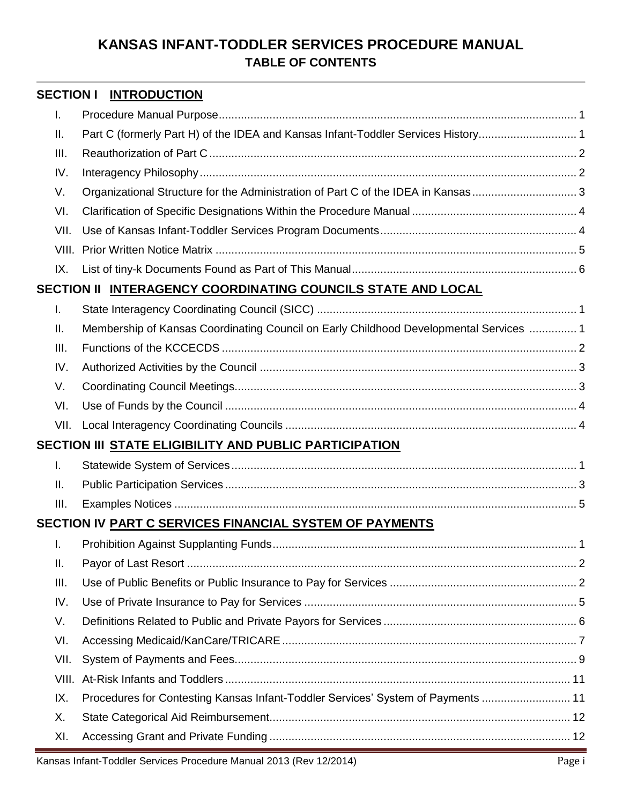#### **SECTION I INTRODUCTION**

| T.   |                                                                                        |  |
|------|----------------------------------------------------------------------------------------|--|
| Ш.   | Part C (formerly Part H) of the IDEA and Kansas Infant-Toddler Services History 1      |  |
| III. |                                                                                        |  |
| IV.  |                                                                                        |  |
| V.   |                                                                                        |  |
| VI.  |                                                                                        |  |
| VII. |                                                                                        |  |
|      |                                                                                        |  |
| IX.  |                                                                                        |  |
|      | SECTION II <u>INTERAGENCY COORDINATING COUNCILS STATE AND LOCAL</u>                    |  |
| I.   |                                                                                        |  |
| Ш.   | Membership of Kansas Coordinating Council on Early Childhood Developmental Services  1 |  |
| III. |                                                                                        |  |
| IV.  |                                                                                        |  |
| V.   |                                                                                        |  |
| VI.  |                                                                                        |  |
| VII. |                                                                                        |  |
|      | SECTION III <u>STATE ELIGIBILITY AND PUBLIC PARTICIPATION</u>                          |  |
| T.   |                                                                                        |  |
| Ш.   |                                                                                        |  |
| III. |                                                                                        |  |
|      | SECTION IV PART C SERVICES FINANCIAL SYSTEM OF PAYMENTS                                |  |
| I.   |                                                                                        |  |
| II.  |                                                                                        |  |
| III. |                                                                                        |  |
| IV.  |                                                                                        |  |
| V.   |                                                                                        |  |
| VI.  |                                                                                        |  |
| VII. |                                                                                        |  |
|      |                                                                                        |  |
| IX.  | Procedures for Contesting Kansas Infant-Toddler Services' System of Payments  11       |  |
| Х.   |                                                                                        |  |
| XI.  |                                                                                        |  |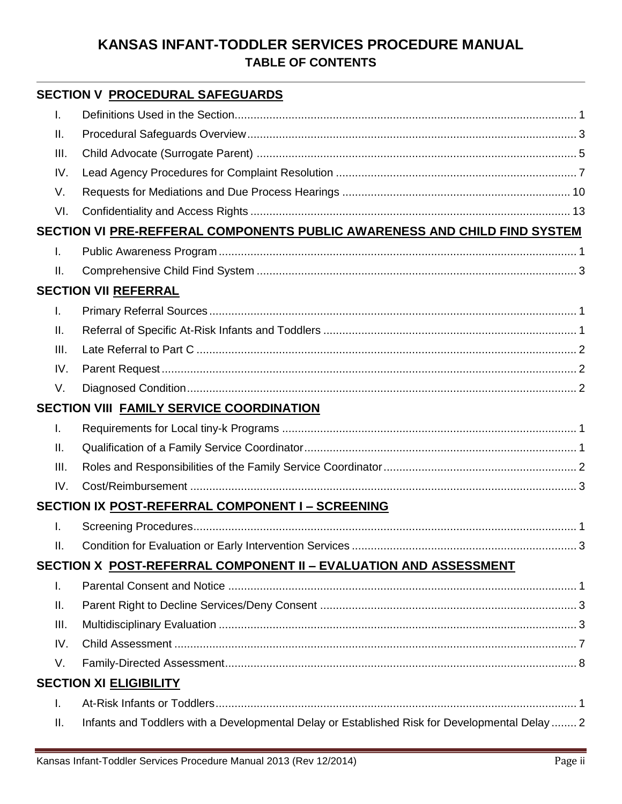|                | <b>SECTION V PROCEDURAL SAFEGUARDS</b>                                                         |  |
|----------------|------------------------------------------------------------------------------------------------|--|
| Τ.             |                                                                                                |  |
| Ш.             |                                                                                                |  |
| III.           |                                                                                                |  |
| IV.            |                                                                                                |  |
| V.             |                                                                                                |  |
| VI.            |                                                                                                |  |
|                | SECTION VI PRE-REFFERAL COMPONENTS PUBLIC AWARENESS AND CHILD FIND SYSTEM                      |  |
| $\mathbf{I}$ . |                                                                                                |  |
| Ш.             |                                                                                                |  |
|                | <b>SECTION VII REFERRAL</b>                                                                    |  |
| T.             |                                                                                                |  |
| Ш.             |                                                                                                |  |
| III.           |                                                                                                |  |
| IV.            |                                                                                                |  |
| V.             |                                                                                                |  |
|                | SECTION VIII FAMILY SERVICE COORDINATION                                                       |  |
| T.             |                                                                                                |  |
| Ш.             |                                                                                                |  |
| III.           |                                                                                                |  |
| IV.            |                                                                                                |  |
|                | SECTION IX POST-REFERRAL COMPONENT I - SCREENING                                               |  |
| I.             |                                                                                                |  |
| Ш.             |                                                                                                |  |
|                | SECTION X POST-REFERRAL COMPONENT II - EVALUATION AND ASSESSMENT                               |  |
| $\mathbf{L}$   |                                                                                                |  |
| Ш.             |                                                                                                |  |
| III.           |                                                                                                |  |
| IV.            |                                                                                                |  |
| V.             |                                                                                                |  |
|                | <b>SECTION XI ELIGIBILITY</b>                                                                  |  |
| I.             |                                                                                                |  |
| Ш.             | Infants and Toddlers with a Developmental Delay or Established Risk for Developmental Delay  2 |  |
|                |                                                                                                |  |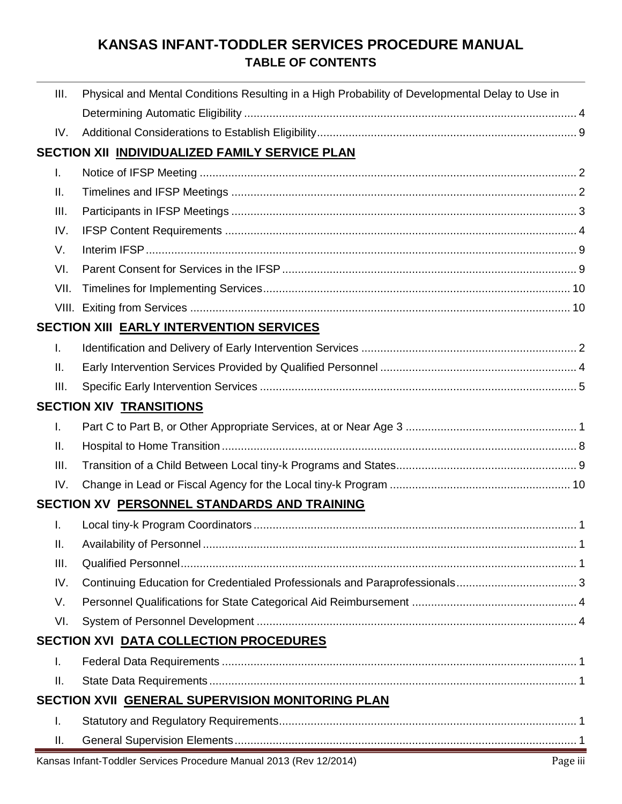| III.                                           | Physical and Mental Conditions Resulting in a High Probability of Developmental Delay to Use in |  |  |  |  |  |
|------------------------------------------------|-------------------------------------------------------------------------------------------------|--|--|--|--|--|
|                                                |                                                                                                 |  |  |  |  |  |
| IV.                                            |                                                                                                 |  |  |  |  |  |
| SECTION XII INDIVIDUALIZED FAMILY SERVICE PLAN |                                                                                                 |  |  |  |  |  |
| T.                                             |                                                                                                 |  |  |  |  |  |
| Ш.                                             |                                                                                                 |  |  |  |  |  |
| III.                                           |                                                                                                 |  |  |  |  |  |
| IV.                                            |                                                                                                 |  |  |  |  |  |
| V.                                             |                                                                                                 |  |  |  |  |  |
| VI.                                            |                                                                                                 |  |  |  |  |  |
| VII.                                           |                                                                                                 |  |  |  |  |  |
| VIII.                                          |                                                                                                 |  |  |  |  |  |
|                                                | SECTION XIII EARLY INTERVENTION SERVICES                                                        |  |  |  |  |  |
| $\mathbf{L}$                                   |                                                                                                 |  |  |  |  |  |
| ΙΙ.                                            |                                                                                                 |  |  |  |  |  |
| III.                                           |                                                                                                 |  |  |  |  |  |
| <b>SECTION XIV TRANSITIONS</b>                 |                                                                                                 |  |  |  |  |  |
| $\mathbf{L}$                                   |                                                                                                 |  |  |  |  |  |
| Ш.                                             |                                                                                                 |  |  |  |  |  |
| III.                                           |                                                                                                 |  |  |  |  |  |
| IV.                                            |                                                                                                 |  |  |  |  |  |
|                                                | SECTION XV PERSONNEL STANDARDS AND TRAINING                                                     |  |  |  |  |  |
| T.                                             |                                                                                                 |  |  |  |  |  |
| ΙΙ.                                            |                                                                                                 |  |  |  |  |  |
| III.                                           |                                                                                                 |  |  |  |  |  |
| IV.                                            |                                                                                                 |  |  |  |  |  |
| V.                                             |                                                                                                 |  |  |  |  |  |
| VI.                                            |                                                                                                 |  |  |  |  |  |
|                                                | SECTION XVI DATA COLLECTION PROCEDURES                                                          |  |  |  |  |  |
| I.                                             |                                                                                                 |  |  |  |  |  |
| Ш.                                             |                                                                                                 |  |  |  |  |  |
|                                                | SECTION XVII GENERAL SUPERVISION MONITORING PLAN                                                |  |  |  |  |  |
| I.                                             |                                                                                                 |  |  |  |  |  |
| Ш.                                             |                                                                                                 |  |  |  |  |  |
|                                                | Kansas Infant-Toddler Services Procedure Manual 2013 (Rev 12/2014)<br>Page iii                  |  |  |  |  |  |